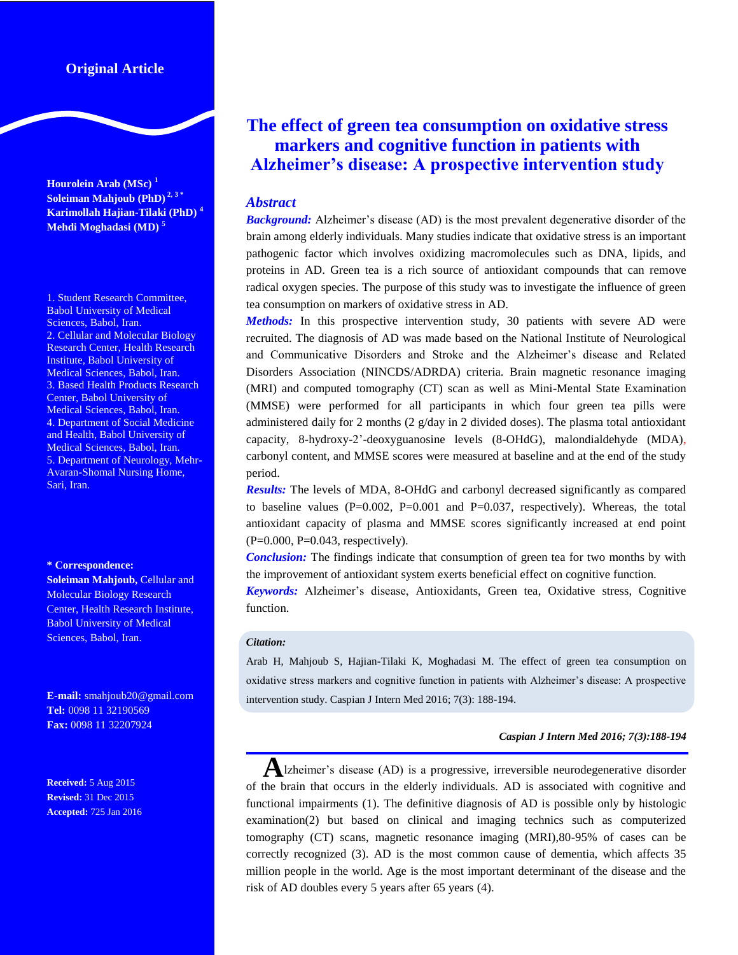# **Original Article**

**Hourolein Arab (MSc) 1 Soleiman Mahjoub (PhD) 2, <sup>3</sup> \* Karimollah Hajian-Tilaki (PhD) <sup>4</sup> Mehdi Moghadasi (MD) <sup>5</sup>**

1. Student Research Committee, Babol University of Medical Sciences, Babol, Iran. 2. Cellular and Molecular Biology Research Center, Health Research Institute, Babol University of Medical Sciences, Babol, Iran. 3. Based Health Products Research Center, Babol University of Medical Sciences, Babol, Iran. 4. Department of Social Medicine and Health, Babol University of Medical Sciences, Babol, Iran. 5. Department of Neurology, Mehr-Avaran-Shomal Nursing Home, Sari, Iran.

#### **\* Correspondence:**

**Soleiman Mahjoub, Cellular and** Molecular Biology Research Center, Health Research Institute, Babol University of Medical Sciences, Babol, Iran.

**E-mail:** smahjoub20@gmail.com **Tel:** 0098 11 32190569 **Fax:** 0098 11 32207924

**Received:** 5 Aug 2015 **Revised:** 31 Dec 2015 **Accepted:** 725 Jan 2016

# **The effect of green tea consumption on oxidative stress markers and cognitive function in patients with Alzheimer's disease: A prospective intervention study**

### *Abstract*

*Background:* Alzheimer's disease (AD) is the most prevalent degenerative disorder of the brain among elderly individuals. Many studies indicate that oxidative stress is an important pathogenic factor which involves oxidizing macromolecules such as DNA, lipids, and proteins in AD. Green tea is a rich source of antioxidant compounds that can remove radical oxygen species. The purpose of this study was to investigate the influence of green tea consumption on markers of oxidative stress in AD.

*Methods:* In this prospective intervention study, 30 patients with severe AD were recruited. The diagnosis of AD was made based on the National Institute of Neurological and Communicative Disorders and Stroke and the Alzheimer's disease and Related Disorders Association (NINCDS/ADRDA) criteria. Brain magnetic resonance imaging (MRI) and computed tomography (CT) scan as well as Mini-Mental State Examination (MMSE) were performed for all participants in which four green tea pills were administered daily for 2 months (2 g/day in 2 divided doses). The plasma total antioxidant capacity, 8-hydroxy-2'-deoxyguanosine levels (8-OHdG), malondialdehyde (MDA), carbonyl content, and MMSE scores were measured at baseline and at the end of the study period.

*Results:* The levels of MDA, 8-OHdG and carbonyl decreased significantly as compared to baseline values  $(P=0.002, P=0.001$  and  $P=0.037$ , respectively). Whereas, the total antioxidant capacity of plasma and MMSE scores significantly increased at end point  $(P=0.000, P=0.043, respectively).$ 

*Conclusion:* The findings indicate that consumption of green tea for two months by with the improvement of antioxidant system exerts beneficial effect on cognitive function.

*Keywords:* Alzheimer's disease, Antioxidants, Green tea, Oxidative stress, Cognitive function.

#### *Citation:*

Arab H, Mahjoub S, Hajian-Tilaki K, Moghadasi M. The effect of green tea consumption on oxidative stress markers and cognitive function in patients with Alzheimer's disease: A prospective intervention study. Caspian J Intern Med 2016; 7(3): 188-194.

#### *Caspian J Intern Med 2016; 7(3):188-194*

**A**lzheimer's disease (AD) is a progressive, irreversible neurodegenerative disorder of the brain that occurs in the elderly individuals. AD is associated with cognitive and functional impairments (1). The definitive diagnosis of AD is possible only by histologic examination(2) but based on clinical and imaging technics such as computerized tomography (CT) scans, magnetic resonance imaging (MRI),80-95% of cases can be correctly recognized (3). AD is the most common cause of dementia, which affects 35 million people in the world. Age is the most important determinant of the disease and the risk of AD doubles every 5 years after 65 years (4).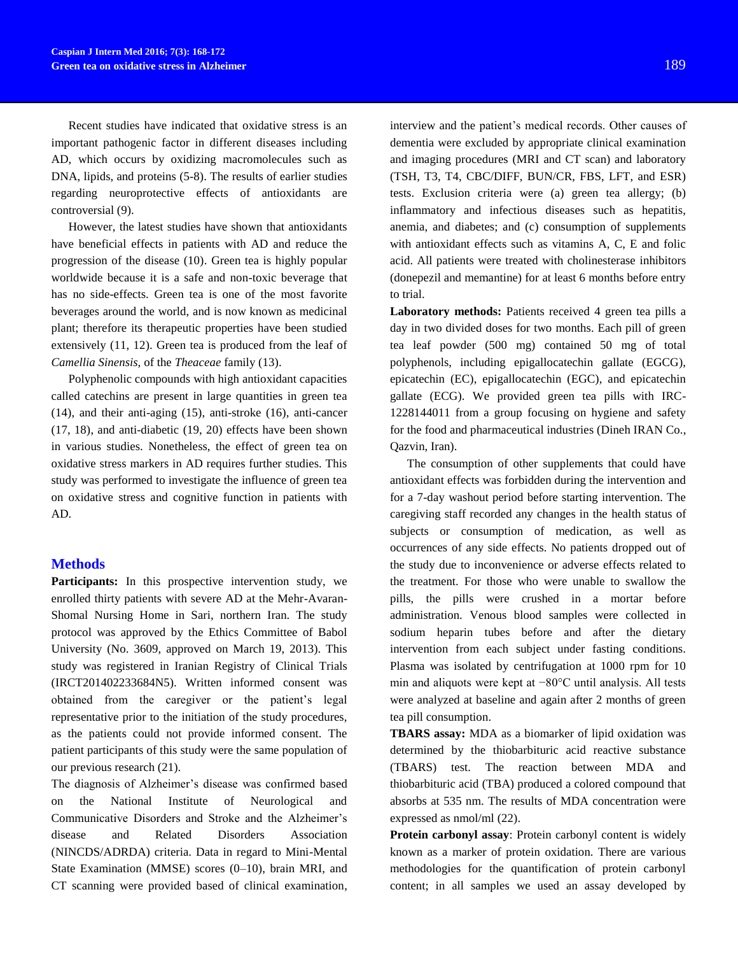Recent studies have indicated that oxidative stress is an important pathogenic factor in different diseases including AD, which occurs by oxidizing macromolecules such as DNA, lipids, and proteins (5-8). The results of earlier studies regarding neuroprotective effects of antioxidants are controversial (9).

However, the latest studies have shown that antioxidants have beneficial effects in patients with AD and reduce the progression of the disease (10). Green tea is highly popular worldwide because it is a safe and non-toxic beverage that has no side-effects. Green tea is one of the most favorite beverages around the world, and is now known as medicinal plant; therefore its therapeutic properties have been studied extensively (11, 12). Green tea is produced from the leaf of *Camellia Sinensis,* of the *Theaceae* family (13).

Polyphenolic compounds with high antioxidant capacities called catechins are present in large quantities in green tea (14), and their anti-aging (15), anti-stroke (16), anti-cancer (17, 18), and anti-diabetic (19, 20) effects have been shown in various studies. Nonetheless, the effect of green tea on oxidative stress markers in AD requires further studies. This study was performed to investigate the influence of green tea on oxidative stress and cognitive function in patients with AD.

#### **Methods**

**Participants:** In this prospective intervention study, we enrolled thirty patients with severe AD at the Mehr-Avaran-Shomal Nursing Home in Sari, northern Iran. The study protocol was approved by the Ethics Committee of Babol University (No. 3609, approved on March 19, 2013). This study was registered in Iranian Registry of Clinical Trials (IRCT201402233684N5). Written informed consent was obtained from the caregiver or the patient's legal representative prior to the initiation of the study procedures, as the patients could not provide informed consent. The patient participants of this study were the same population of our previous research (21).

The diagnosis of Alzheimer's disease was confirmed based on the National Institute of Neurological and Communicative Disorders and Stroke and the Alzheimer's disease and Related Disorders Association (NINCDS/ADRDA) criteria. Data in regard to Mini-Mental State Examination (MMSE) scores (0*–*10), brain MRI, and CT scanning were provided based of clinical examination,

interview and the patient's medical records. Other causes of dementia were excluded by appropriate clinical examination and imaging procedures (MRI and CT scan) and laboratory (TSH, T3, T4, CBC/DIFF, BUN/CR, FBS, LFT, and ESR) tests. Exclusion criteria were (a) green tea allergy; (b) inflammatory and infectious diseases such as hepatitis, anemia, and diabetes; and (c) consumption of supplements with antioxidant effects such as vitamins A, C, E and folic acid. All patients were treated with cholinesterase inhibitors (donepezil and memantine) for at least 6 months before entry to trial.

**Laboratory methods:** Patients received 4 green tea pills a day in two divided doses for two months. Each pill of green tea leaf powder (500 mg) contained 50 mg of total polyphenols, including epigallocatechin gallate (EGCG), epicatechin (EC), epigallocatechin (EGC), and epicatechin gallate (ECG). We provided green tea pills with IRC-1228144011 from a group focusing on hygiene and safety for the food and pharmaceutical industries (Dineh IRAN Co., Qazvin, Iran).

The consumption of other supplements that could have antioxidant effects was forbidden during the intervention and for a 7-day washout period before starting intervention. The caregiving staff recorded any changes in the health status of subjects or consumption of medication, as well as occurrences of any side effects. No patients dropped out of the study due to inconvenience or adverse effects related to the treatment. For those who were unable to swallow the pills, the pills were crushed in a mortar before administration. Venous blood samples were collected in sodium heparin tubes before and after the dietary intervention from each subject under fasting conditions. Plasma was isolated by centrifugation at 1000 rpm for 10 min and aliquots were kept at −80°C until analysis. All tests were analyzed at baseline and again after 2 months of green tea pill consumption.

**TBARS assay:** MDA as a biomarker of lipid oxidation was determined by the thiobarbituric acid reactive substance (TBARS) test. The reaction between MDA and thiobarbituric acid (TBA) produced a colored compound that absorbs at 535 nm. The results of MDA concentration were expressed as nmol/ml (22).

**Protein carbonyl assay**: Protein carbonyl content is widely known as a marker of protein oxidation. There are various methodologies for the quantification of protein carbonyl content; in all samples we used an assay developed by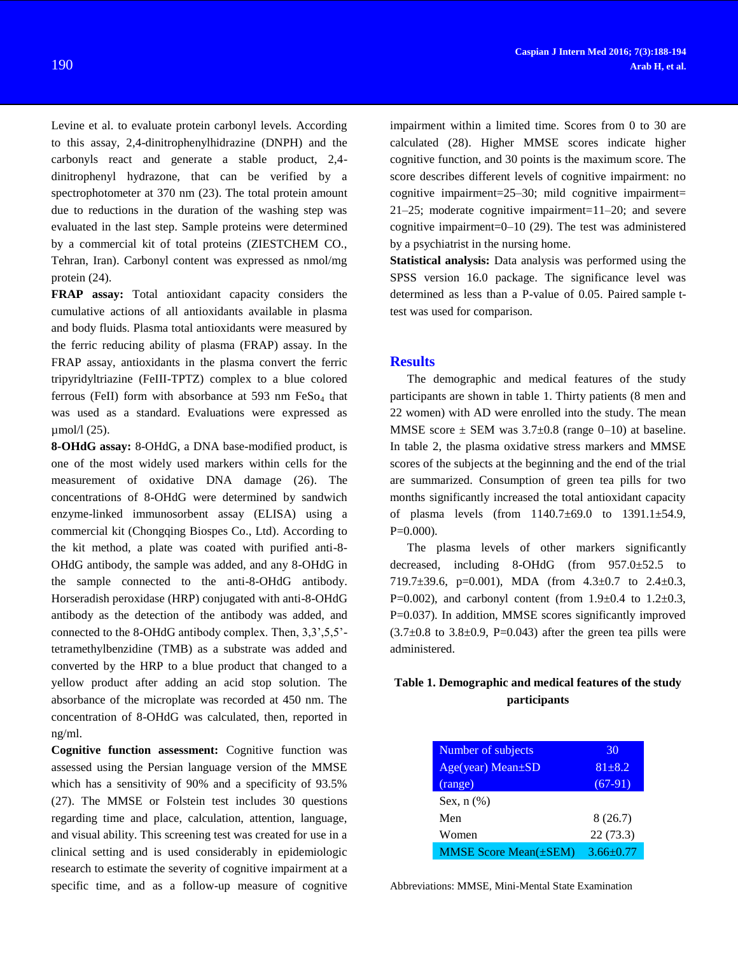Levine et al. to evaluate protein carbonyl levels. According to this assay, 2,4-dinitrophenylhidrazine (DNPH) and the carbonyls react and generate a stable product, 2,4 dinitrophenyl hydrazone, that can be verified by a spectrophotometer at 370 nm (23). The total protein amount due to reductions in the duration of the washing step was evaluated in the last step. Sample proteins were determined by a commercial kit of total proteins (ZIESTCHEM CO., Tehran, Iran). Carbonyl content was expressed as nmol/mg protein (24).

**FRAP assay:** Total antioxidant capacity considers the cumulative actions of all antioxidants available in plasma and body fluids. Plasma total antioxidants were measured by the ferric reducing ability of plasma (FRAP) assay. In the FRAP assay, antioxidants in the plasma convert the ferric tripyridyltriazine (FeIII-TPTZ) complex to a blue colored ferrous (FeII) form with absorbance at 593 nm  $FeSo<sub>4</sub>$  that was used as a standard. Evaluations were expressed as µmol/l (25).

**8-OHdG assay:** 8-OHdG, a DNA base-modified product, is one of the most widely used markers within cells for the measurement of oxidative DNA damage (26). The concentrations of 8-OHdG were determined by sandwich enzyme-linked immunosorbent assay (ELISA) using a commercial kit (Chongqing Biospes Co., Ltd). According to the kit method, a plate was coated with purified anti-8- OHdG antibody, the sample was added, and any 8-OHdG in the sample connected to the anti-8-OHdG antibody. Horseradish peroxidase (HRP) conjugated with anti-8-OHdG antibody as the detection of the antibody was added, and connected to the 8-OHdG antibody complex. Then, 3,3',5,5' tetramethylbenzidine (TMB) as a substrate was added and converted by the HRP to a blue product that changed to a yellow product after adding an acid stop solution. The absorbance of the microplate was recorded at 450 nm. The concentration of 8-OHdG was calculated, then, reported in ng/ml.

**Cognitive function assessment:** Cognitive function was assessed using the Persian language version of the MMSE which has a sensitivity of 90% and a specificity of 93.5% (27). The MMSE or Folstein test includes 30 questions regarding time and place, calculation, attention, language, and visual ability. This screening test was created for use in a clinical setting and is used considerably in epidemiologic research to estimate the severity of cognitive impairment at a specific time, and as a follow-up measure of cognitive

impairment within a limited time. Scores from 0 to 30 are calculated (28). Higher MMSE scores indicate higher cognitive function, and 30 points is the maximum score. The score describes different levels of cognitive impairment: no cognitive impairment=25*–*30; mild cognitive impairment= 21*–*25; moderate cognitive impairment=11*–*20; and severe cognitive impairment=0*–*10 (29). The test was administered by a psychiatrist in the nursing home.

**Statistical analysis:** Data analysis was performed using the SPSS version 16.0 package. The significance level was determined as less than a P-value of 0.05. Paired sample ttest was used for comparison.

#### **Results**

The demographic and medical features of the study participants are shown in table 1. Thirty patients (8 men and 22 women) with AD were enrolled into the study. The mean MMSE score  $\pm$  SEM was 3.7 $\pm$ 0.8 (range 0–10) at baseline. In table 2, the plasma oxidative stress markers and MMSE scores of the subjects at the beginning and the end of the trial are summarized. Consumption of green tea pills for two months significantly increased the total antioxidant capacity of plasma levels (from 1140.7±69.0 to 1391.1±54.9,  $P=0.000$ ).

The plasma levels of other markers significantly decreased, including 8-OHdG (from 957.0±52.5 to 719.7 $\pm$ 39.6, p=0.001), MDA (from 4.3 $\pm$ 0.7 to 2.4 $\pm$ 0.3, P=0.002), and carbonyl content (from  $1.9 \pm 0.4$  to  $1.2 \pm 0.3$ , P=0.037). In addition, MMSE scores significantly improved  $(3.7\pm0.8$  to  $3.8\pm0.9$ , P=0.043) after the green tea pills were administered.

## **Table 1. Demographic and medical features of the study participants**

| Number of subjects                          | 30              |
|---------------------------------------------|-----------------|
| $Age(year) Mean \pm SD$                     | $81 \pm 8.2$    |
| (range)                                     | $(67-91)$       |
| Sex, $n$ $(\%)$                             |                 |
| Men                                         | 8(26.7)         |
| Women                                       | 22(73.3)        |
| <b>MMSE Score Mean(<math>\pm</math>SEM)</b> | $3.66 \pm 0.77$ |

Abbreviations: MMSE, Mini-Mental State Examination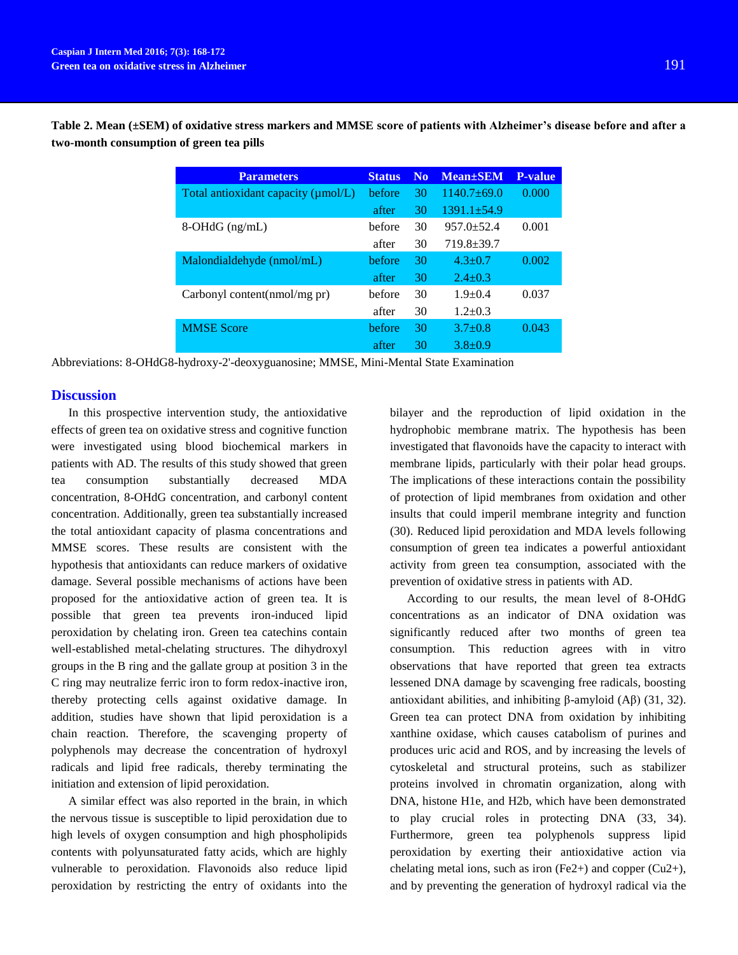**Table 2. Mean (±SEM) of oxidative stress markers and MMSE score of patients with Alzheimer's disease before and after a two-month consumption of green tea pills** 

| <b>Parameters</b>                         | <b>Status</b> | N <sub>0</sub> | <b>Mean</b> ±SEM  | <b>P-value</b> |
|-------------------------------------------|---------------|----------------|-------------------|----------------|
| Total antioxidant capacity ( $\mu$ mol/L) | before        | 30             | $1140.7 \pm 69.0$ | 0.000          |
|                                           | after         | 30             | $1391.1 + 54.9$   |                |
| $8-OHdG$ (ng/mL)                          | hefore        | 30             | $957.0 \pm 52.4$  | 0.001          |
|                                           | after         | 30             | $719.8 \pm 39.7$  |                |
| Malondialdehyde (nmol/mL)                 | hefore        | 30             | $4.3 + 0.7$       | 0.002          |
|                                           | after         | 30             | $2.4 \pm 0.3$     |                |
| Carbonyl content(nmol/mg pr)              | hefore        | 30             | $1.9 + 0.4$       | 0.037          |
|                                           | after         | 30             | $1.2 + 0.3$       |                |
| <b>MMSE Score</b>                         | before        | 30             | $3.7 \pm 0.8$     | 0.043          |
|                                           | after         | 30             | $3.8 + 0.9$       |                |

Abbreviations: 8-OHdG8-hydroxy-2'-deoxyguanosine; MMSE, Mini-Mental State Examination

## **Discussion**

In this prospective intervention study, the antioxidative effects of green tea on oxidative stress and cognitive function were investigated using blood biochemical markers in patients with AD. The results of this study showed that green tea consumption substantially decreased MDA concentration, 8-OHdG concentration, and carbonyl content concentration. Additionally, green tea substantially increased the total antioxidant capacity of plasma concentrations and MMSE scores. These results are consistent with the hypothesis that antioxidants can reduce markers of oxidative damage. Several possible mechanisms of actions have been proposed for the antioxidative action of green tea. It is possible that green tea prevents iron-induced lipid peroxidation by chelating iron. Green tea catechins contain well-established metal-chelating structures. The dihydroxyl groups in the B ring and the gallate group at position 3 in the C ring may neutralize ferric iron to form redox-inactive iron, thereby protecting cells against oxidative damage. In addition, studies have shown that lipid peroxidation is a chain reaction. Therefore, the scavenging property of polyphenols may decrease the concentration of hydroxyl radicals and lipid free radicals, thereby terminating the initiation and extension of lipid peroxidation.

A similar effect was also reported in the brain, in which the nervous tissue is susceptible to lipid peroxidation due to high levels of oxygen consumption and high phospholipids contents with polyunsaturated fatty acids, which are highly vulnerable to peroxidation. Flavonoids also reduce lipid peroxidation by restricting the entry of oxidants into the

bilayer and the reproduction of lipid oxidation in the hydrophobic membrane matrix. The hypothesis has been investigated that flavonoids have the capacity to interact with membrane lipids, particularly with their polar head groups. The implications of these interactions contain the possibility of protection of lipid membranes from oxidation and other insults that could imperil membrane integrity and function (30). Reduced lipid peroxidation and MDA levels following consumption of green tea indicates a powerful antioxidant activity from green tea consumption, associated with the prevention of oxidative stress in patients with AD.

According to our results, the mean level of 8-OHdG concentrations as an indicator of DNA oxidation was significantly reduced after two months of green tea consumption. This reduction agrees with in vitro observations that have reported that green tea extracts lessened DNA damage by scavenging free radicals, boosting antioxidant abilities, and inhibiting β-amyloid (Aβ) (31, 32). Green tea can protect DNA from oxidation by inhibiting xanthine oxidase, which causes catabolism of purines and produces uric acid and ROS, and by increasing the levels of cytoskeletal and structural proteins, such as stabilizer proteins involved in chromatin organization, along with DNA, histone H1e, and H2b, which have been demonstrated to play crucial roles in protecting DNA (33, 34). Furthermore, green tea polyphenols suppress lipid peroxidation by exerting their antioxidative action via chelating metal ions, such as iron  $(Fe2+)$  and copper  $(Cu2+)$ , and by preventing the generation of hydroxyl radical via the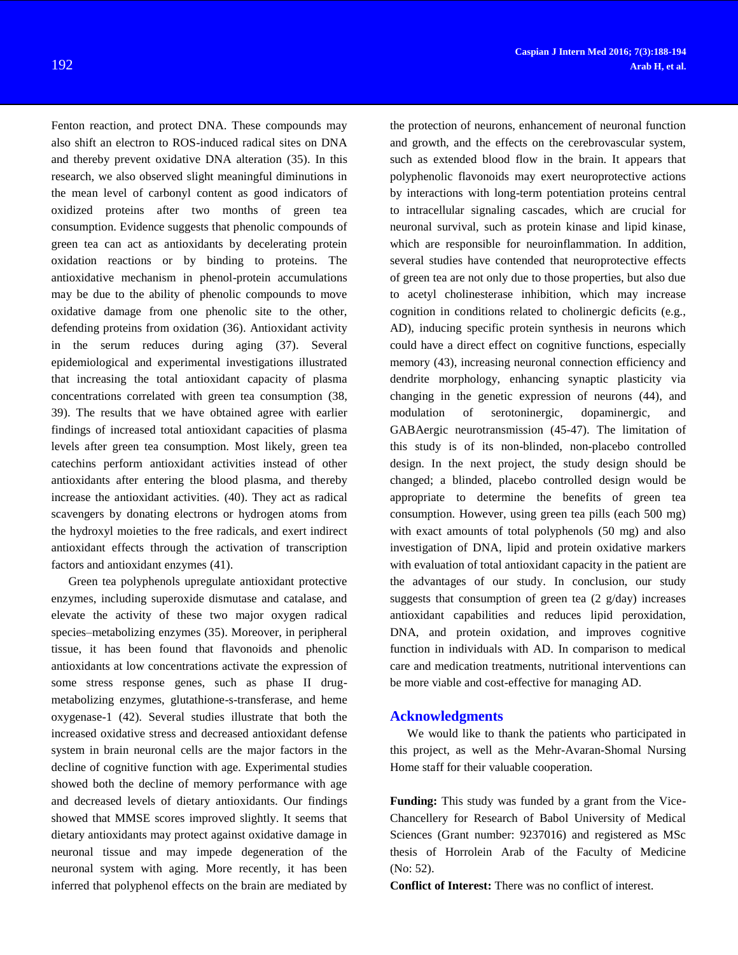Fenton reaction, and protect DNA. These compounds may also shift an electron to ROS-induced radical sites on DNA and thereby prevent oxidative DNA alteration (35). In this research, we also observed slight meaningful diminutions in the mean level of carbonyl content as good indicators of oxidized proteins after two months of green tea consumption. Evidence suggests that phenolic compounds of green tea can act as antioxidants by decelerating protein oxidation reactions or by binding to proteins. The antioxidative mechanism in phenol-protein accumulations may be due to the ability of phenolic compounds to move oxidative damage from one phenolic site to the other, defending proteins from oxidation (36). Antioxidant activity in the serum reduces during aging (37). Several epidemiological and experimental investigations illustrated that increasing the total antioxidant capacity of plasma concentrations correlated with green tea consumption (38, 39). The results that we have obtained agree with earlier findings of increased total antioxidant capacities of plasma levels after green tea consumption. Most likely, green tea catechins perform antioxidant activities instead of other antioxidants after entering the blood plasma, and thereby increase the antioxidant activities. (40). They act as radical scavengers by donating electrons or hydrogen atoms from the hydroxyl moieties to the free radicals, and exert indirect antioxidant effects through the activation of transcription factors and antioxidant enzymes (41).

Green tea polyphenols upregulate antioxidant protective enzymes, including superoxide dismutase and catalase, and elevate the activity of these two major oxygen radical species*–*metabolizing enzymes (35). Moreover, in peripheral tissue, it has been found that flavonoids and phenolic antioxidants at low concentrations activate the expression of some stress response genes, such as phase II drugmetabolizing enzymes, glutathione-s-transferase, and heme oxygenase-1 (42). Several studies illustrate that both the increased oxidative stress and decreased antioxidant defense system in brain neuronal cells are the major factors in the decline of cognitive function with age. Experimental studies showed both the decline of memory performance with age and decreased levels of dietary antioxidants. Our findings showed that MMSE scores improved slightly. It seems that dietary antioxidants may protect against oxidative damage in neuronal tissue and may impede degeneration of the neuronal system with aging. More recently, it has been inferred that polyphenol effects on the brain are mediated by

the protection of neurons, enhancement of neuronal function and growth, and the effects on the cerebrovascular system, such as extended blood flow in the brain. It appears that polyphenolic flavonoids may exert neuroprotective actions by interactions with long-term potentiation proteins central to intracellular signaling cascades, which are crucial for neuronal survival, such as protein kinase and lipid kinase, which are responsible for neuroinflammation. In addition, several studies have contended that neuroprotective effects of green tea are not only due to those properties, but also due to acetyl cholinesterase inhibition, which may increase cognition in conditions related to cholinergic deficits (e.g., AD), inducing specific protein synthesis in neurons which could have a direct effect on cognitive functions, especially memory (43), increasing neuronal connection efficiency and dendrite morphology, enhancing synaptic plasticity via changing in the genetic expression of neurons (44), and modulation of serotoninergic, dopaminergic, and GABAergic neurotransmission (45-47). The limitation of this study is of its non-blinded, non-placebo controlled design. In the next project, the study design should be changed; a blinded, placebo controlled design would be appropriate to determine the benefits of green tea consumption. However, using green tea pills (each 500 mg) with exact amounts of total polyphenols (50 mg) and also investigation of DNA, lipid and protein oxidative markers with evaluation of total antioxidant capacity in the patient are the advantages of our study. In conclusion, our study suggests that consumption of green tea  $(2 \text{ g/day})$  increases antioxidant capabilities and reduces lipid peroxidation, DNA, and protein oxidation, and improves cognitive function in individuals with AD. In comparison to medical care and medication treatments, nutritional interventions can be more viable and cost-effective for managing AD.

#### **Acknowledgments**

We would like to thank the patients who participated in this project, as well as the Mehr-Avaran-Shomal Nursing Home staff for their valuable cooperation.

**Funding:** This study was funded by a grant from the Vice-Chancellery for Research of Babol University of Medical Sciences (Grant number: 9237016) and registered as MSc thesis of Horrolein Arab of the Faculty of Medicine (No: 52).

**Conflict of Interest:** There was no conflict of interest.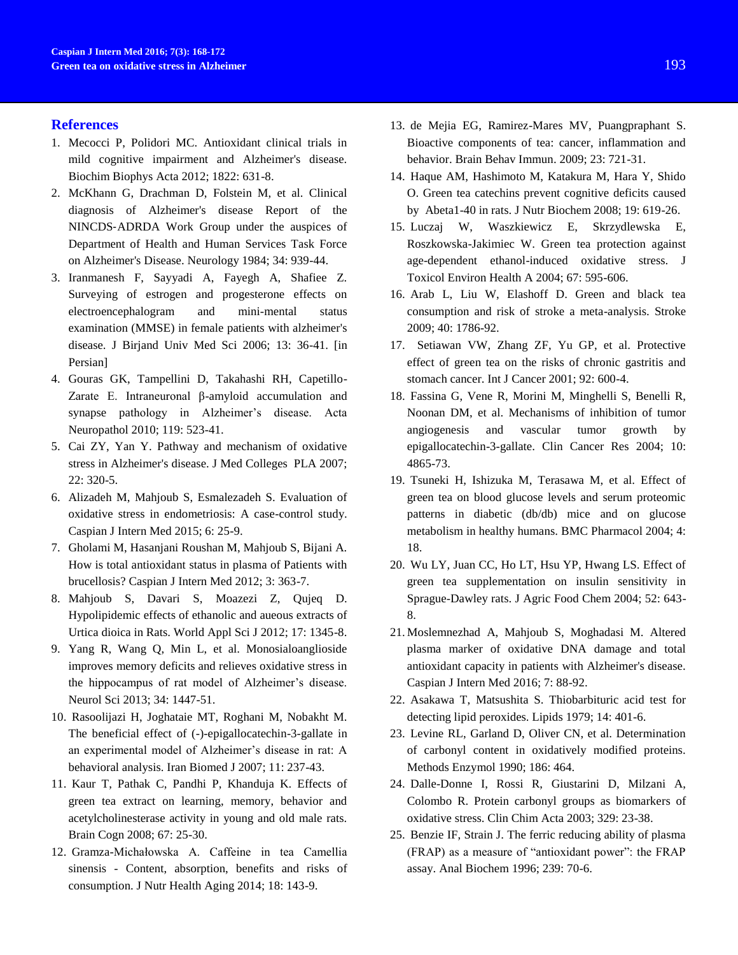#### **References**

- 1. Mecocci P, Polidori MC. Antioxidant clinical trials in mild cognitive impairment and Alzheimer's disease. Biochim Biophys Acta 2012; 1822: 631-8.
- 2. McKhann G, Drachman D, Folstein M, et al. Clinical diagnosis of Alzheimer's disease Report of the NINCDS‐ADRDA Work Group under the auspices of Department of Health and Human Services Task Force on Alzheimer's Disease. Neurology 1984; 34: 939-44.
- 3. Iranmanesh F, Sayyadi A, Fayegh A, Shafiee Z. Surveying of estrogen and progesterone effects on electroencephalogram and mini-mental status examination (MMSE) in female patients with alzheimer's disease. J Birjand Univ Med Sci 2006; 13: 36-41. [in Persian]
- 4. Gouras GK, Tampellini D, Takahashi RH, Capetillo-Zarate E. Intraneuronal β-amyloid accumulation and synapse pathology in Alzheimer's disease. Acta Neuropathol 2010; 119: 523-41.
- 5. Cai ZY, Yan Y. Pathway and mechanism of oxidative stress in Alzheimer's disease. J Med Colleges PLA 2007; 22: 320-5.
- 6. Alizadeh M, Mahjoub S, Esmalezadeh S. Evaluation of oxidative stress in endometriosis: A case-control study. Caspian J Intern Med 2015; 6: 25-9.
- 7. Gholami M, Hasanjani Roushan M, Mahjoub S, Bijani A. How is total antioxidant status in plasma of Patients with brucellosis? Caspian J Intern Med 2012; 3: 363-7.
- 8. Mahjoub S, Davari S, Moazezi Z, Qujeq D. Hypolipidemic effects of ethanolic and aueous extracts of Urtica dioica in Rats. World Appl Sci J 2012; 17: 1345-8.
- 9. Yang R, Wang Q, Min L, et al. Monosialoanglioside improves memory deficits and relieves oxidative stress in the hippocampus of rat model of Alzheimer's disease. Neurol Sci 2013; 34: 1447-51.
- 10. Rasoolijazi H, Joghataie MT, Roghani M, Nobakht M. The beneficial effect of (-)-epigallocatechin-3-gallate in an experimental model of Alzheimer's disease in rat: A behavioral analysis. Iran Biomed J 2007; 11: 237-43.
- 11. Kaur T, Pathak C, Pandhi P, Khanduja K. Effects of green tea extract on learning, memory, behavior and acetylcholinesterase activity in young and old male rats. Brain Cogn 2008; 67: 25-30.
- 12. Gramza-Michałowska A. Caffeine in tea Camellia sinensis - Content, absorption, benefits and risks of consumption. J Nutr Health Aging 2014; 18: 143-9.
- 13. de Mejia EG, Ramirez-Mares MV, Puangpraphant S. Bioactive components of tea: cancer, inflammation and behavior. Brain Behav Immun. 2009; 23: 721-31.
- 14. Haque AM, Hashimoto M, Katakura M, Hara Y, Shido O. Green tea catechins prevent cognitive deficits caused by Abeta1-40 in rats. J Nutr Biochem 2008; 19: 619-26.
- 15. Luczaj W, Waszkiewicz E, Skrzydlewska E, Roszkowska-Jakimiec W. Green tea protection against age-dependent ethanol-induced oxidative stress. J Toxicol Environ Health A 2004; 67: 595-606.
- 16. Arab L, Liu W, Elashoff D. Green and black tea consumption and risk of stroke a meta-analysis. Stroke 2009; 40: 1786-92.
- 17. Setiawan VW, Zhang ZF, Yu GP, et al. Protective effect of green tea on the risks of chronic gastritis and stomach cancer. Int J Cancer 2001; 92: 600-4.
- 18. Fassina G, Vene R, Morini M, Minghelli S, Benelli R, Noonan DM, et al. Mechanisms of inhibition of tumor angiogenesis and vascular tumor growth by epigallocatechin-3-gallate. Clin Cancer Res 2004; 10: 4865-73.
- 19. Tsuneki H, Ishizuka M, Terasawa M, et al. Effect of green tea on blood glucose levels and serum proteomic patterns in diabetic (db/db) mice and on glucose metabolism in healthy humans. BMC Pharmacol 2004; 4: 18.
- 20. Wu LY, Juan CC, Ho LT, Hsu YP, Hwang LS. Effect of green tea supplementation on insulin sensitivity in Sprague-Dawley rats. J Agric Food Chem 2004; 52: 643- 8.
- 21. Moslemnezhad A, Mahjoub S, Moghadasi M. Altered plasma marker of oxidative DNA damage and total antioxidant capacity in patients with Alzheimer's disease. Caspian J Intern Med 2016; 7: 88-92.
- 22. Asakawa T, Matsushita S. Thiobarbituric acid test for detecting lipid peroxides. Lipids 1979; 14: 401-6.
- 23. Levine RL, Garland D, Oliver CN, et al. Determination of carbonyl content in oxidatively modified proteins. Methods Enzymol 1990; 186: 464.
- 24. Dalle-Donne I, Rossi R, Giustarini D, Milzani A, Colombo R. Protein carbonyl groups as biomarkers of oxidative stress. Clin Chim Acta 2003; 329: 23-38.
- 25. Benzie IF, Strain J. The ferric reducing ability of plasma (FRAP) as a measure of "antioxidant power": the FRAP assay. Anal Biochem 1996; 239: 70-6.